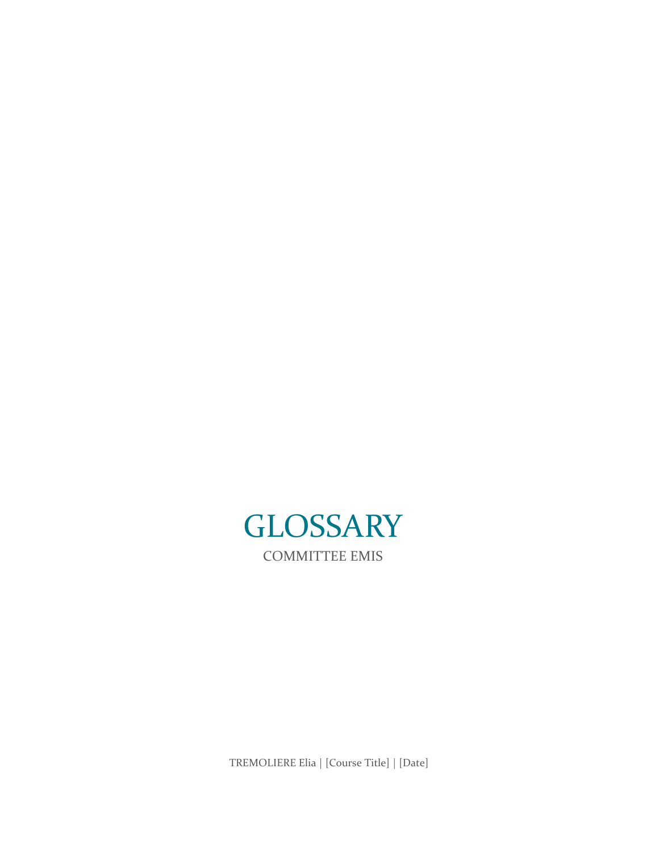<span id="page-0-0"></span>

TREMOLIERE Elia | [Course Title] | [Date]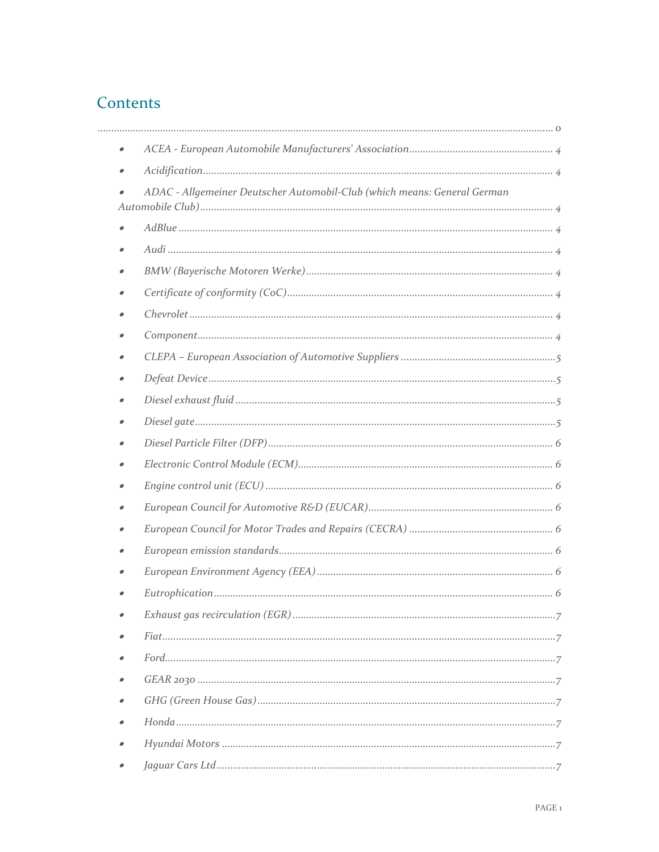# Contents

| $\bullet$ |                                                                          |
|-----------|--------------------------------------------------------------------------|
|           |                                                                          |
|           | ADAC - Allgemeiner Deutscher Automobil-Club (which means: General German |
|           |                                                                          |
|           |                                                                          |
|           |                                                                          |
|           |                                                                          |
|           |                                                                          |
|           |                                                                          |
|           |                                                                          |
|           |                                                                          |
|           |                                                                          |
|           |                                                                          |
|           |                                                                          |
|           |                                                                          |
|           |                                                                          |
| 0         |                                                                          |
|           |                                                                          |
|           |                                                                          |
|           |                                                                          |
|           |                                                                          |
|           |                                                                          |
|           |                                                                          |
|           |                                                                          |
|           |                                                                          |
| 0         |                                                                          |
|           |                                                                          |
| $\bullet$ |                                                                          |
|           |                                                                          |
|           |                                                                          |
|           |                                                                          |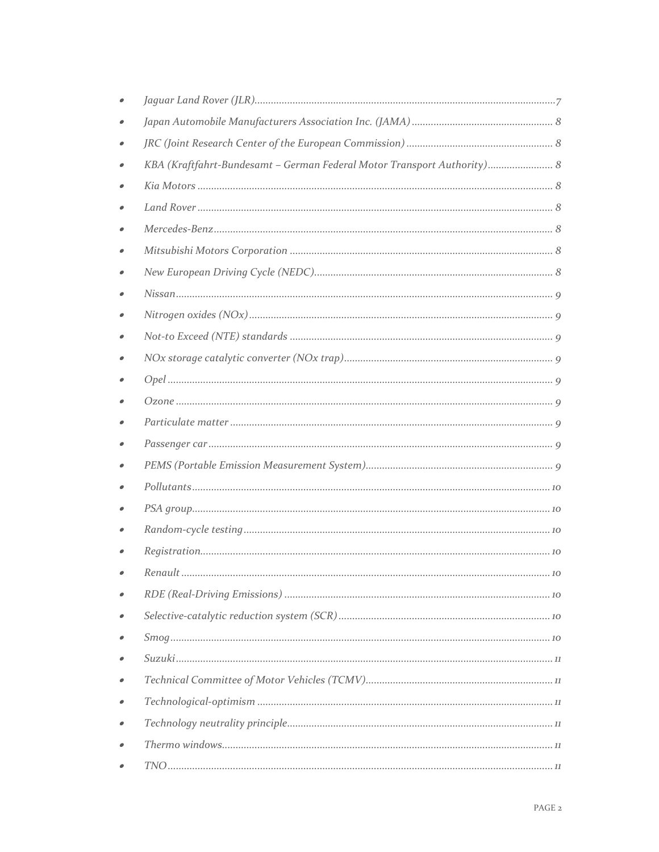| KBA (Kraftfahrt-Bundesamt - German Federal Motor Transport Authority) 8 |
|-------------------------------------------------------------------------|
|                                                                         |
|                                                                         |
|                                                                         |
|                                                                         |
|                                                                         |
|                                                                         |
|                                                                         |
|                                                                         |
|                                                                         |
|                                                                         |
|                                                                         |
|                                                                         |
|                                                                         |
|                                                                         |
|                                                                         |
|                                                                         |
|                                                                         |
|                                                                         |
| Renault.<br>10                                                          |
|                                                                         |
|                                                                         |
|                                                                         |
|                                                                         |
|                                                                         |
|                                                                         |
|                                                                         |
|                                                                         |
|                                                                         |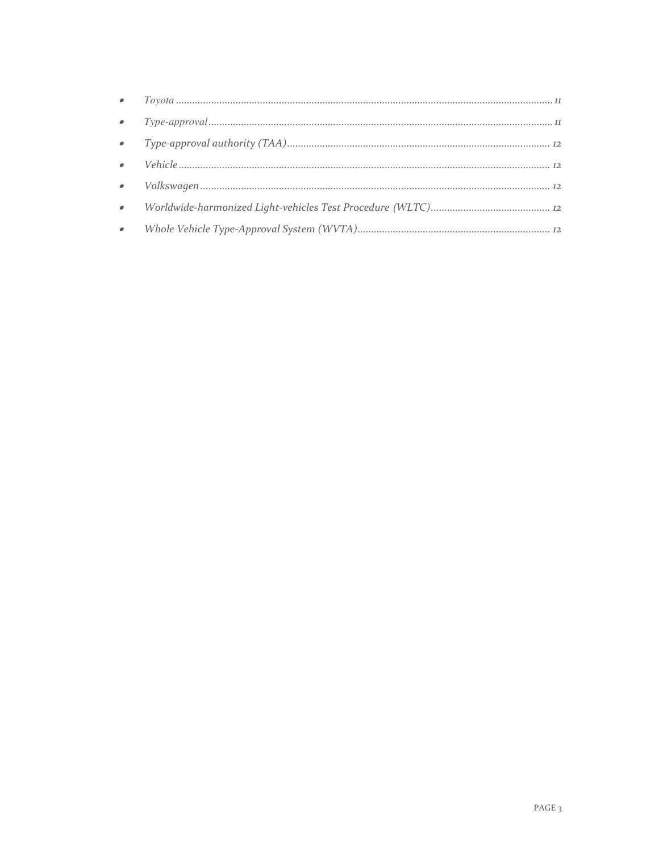| $\bullet$ |  |
|-----------|--|
| $\bullet$ |  |
|           |  |
|           |  |
| $\bullet$ |  |
|           |  |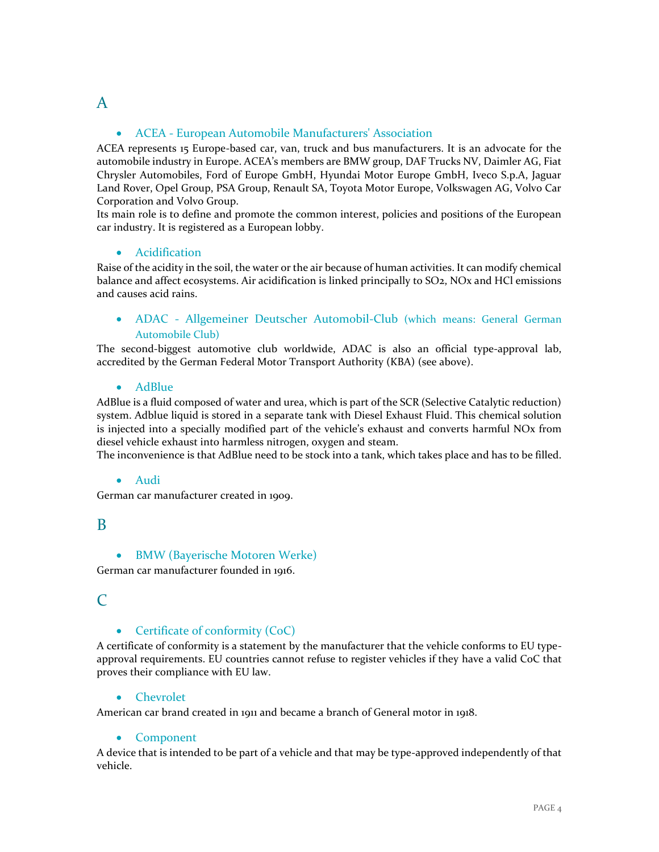# <span id="page-4-0"></span>A

# ACEA - European Automobile Manufacturers' Association

ACEA represents 15 Europe-based car, van, truck and bus manufacturers. It is an advocate for the automobile industry in Europe. ACEA's members are BMW group, DAF Trucks NV, Daimler AG, Fiat Chrysler Automobiles, Ford of Europe GmbH, Hyundai Motor Europe GmbH, Iveco S.p.A, Jaguar Land Rover, Opel Group, PSA Group, Renault SA, Toyota Motor Europe, Volkswagen AG, Volvo Car Corporation and Volvo Group.

Its main role is to define and promote the common interest, policies and positions of the European car industry. It is registered as a European lobby.

#### <span id="page-4-1"></span>**•** Acidification

Raise of the acidity in the soil, the water or the air because of human activities. It can modify chemical balance and affect ecosystems. Air acidification is linked principally to SO2, NOx and HCl emissions and causes acid rains.

<span id="page-4-2"></span> ADAC - Allgemeiner Deutscher Automobil-Club (which means: General German Automobile Club)

<span id="page-4-3"></span>The second-biggest automotive club worldwide, ADAC is also an official type-approval lab, accredited by the German Federal Motor Transport Authority (KBA) (see above).

#### • AdBlue

AdBlue is a fluid composed of water and urea, which is part of the SCR (Selective Catalytic reduction) system. Adblue liquid is stored in a separate tank with Diesel Exhaust Fluid. This chemical solution is injected into a specially modified part of the vehicle's exhaust and converts harmful NOx from diesel vehicle exhaust into harmless nitrogen, oxygen and steam.

<span id="page-4-4"></span>The inconvenience is that AdBlue need to be stock into a tank, which takes place and has to be filled.

#### Audi

German car manufacturer created in 1909.

# <span id="page-4-5"></span>B

#### BMW (Bayerische Motoren Werke)

German car manufacturer founded in 1916.

# <span id="page-4-6"></span> $\mathcal{C}$

# • Certificate of conformity (CoC)

A certificate of conformity is a statement by the manufacturer that the vehicle conforms to EU typeapproval requirements. EU countries cannot refuse to register vehicles if they have a valid CoC that proves their compliance with EU law.

#### <span id="page-4-7"></span>• Chevrolet

<span id="page-4-8"></span>American car brand created in 1911 and became a branch of General motor in 1918.

#### • Component

A device that is intended to be part of a vehicle and that may be type-approved independently of that vehicle.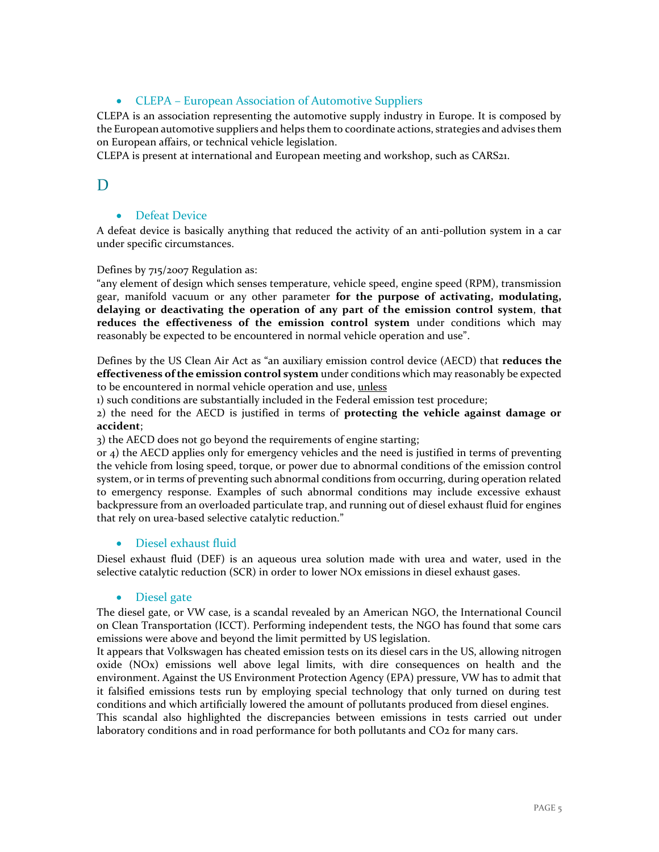# CLEPA – European Association of Automotive Suppliers

<span id="page-5-0"></span>CLEPA is an association representing the automotive supply industry in Europe. It is composed by the European automotive suppliers and helps them to coordinate actions, strategies and advises them on European affairs, or technical vehicle legislation.

CLEPA is present at international and European meeting and workshop, such as CARS21.

# D

# <span id="page-5-1"></span>**•** Defeat Device

A defeat device is basically anything that reduced the activity of an anti-pollution system in a car under specific circumstances.

#### Defines by 715/2007 Regulation as:

"any element of design which senses temperature, vehicle speed, engine speed (RPM), transmission gear, manifold vacuum or any other parameter **for the purpose of activating, modulating, delaying or deactivating the operation of any part of the emission control system**, **that reduces the effectiveness of the emission control system** under conditions which may reasonably be expected to be encountered in normal vehicle operation and use".

Defines by the US Clean Air Act as "an auxiliary emission control device (AECD) that **reduces the effectiveness of the emission control system** under conditions which may reasonably be expected to be encountered in normal vehicle operation and use, unless

1) such conditions are substantially included in the Federal emission test procedure;

2) the need for the AECD is justified in terms of **protecting the vehicle against damage or accident**;

3) the AECD does not go beyond the requirements of engine starting;

or 4) the AECD applies only for emergency vehicles and the need is justified in terms of preventing the vehicle from losing speed, torque, or power due to abnormal conditions of the emission control system, or in terms of preventing such abnormal conditions from occurring, during operation related to emergency response. Examples of such abnormal conditions may include excessive exhaust backpressure from an overloaded particulate trap, and running out of diesel exhaust fluid for engines that rely on urea-based selective catalytic reduction."

#### <span id="page-5-2"></span>**•** Diesel exhaust fluid

<span id="page-5-3"></span>Diesel exhaust fluid (DEF) is an aqueous urea solution made with urea and water, used in the selective catalytic reduction (SCR) in order to lower NOx emissions in diesel exhaust gases.

#### • Diesel gate

The diesel gate, or VW case, is a scandal revealed by an American NGO, the International Council on Clean Transportation (ICCT). Performing independent tests, the NGO has found that some cars emissions were above and beyond the limit permitted by US legislation.

It appears that Volkswagen has cheated emission tests on its diesel cars in the US, allowing nitrogen oxide (NOx) emissions well above legal limits, with dire consequences on health and the environment. Against the US Environment Protection Agency (EPA) pressure, VW has to admit that it falsified emissions tests run by employing special technology that only turned on during test conditions and which artificially lowered the amount of pollutants produced from diesel engines.

This scandal also highlighted the discrepancies between emissions in tests carried out under laboratory conditions and in road performance for both pollutants and CO2 for many cars.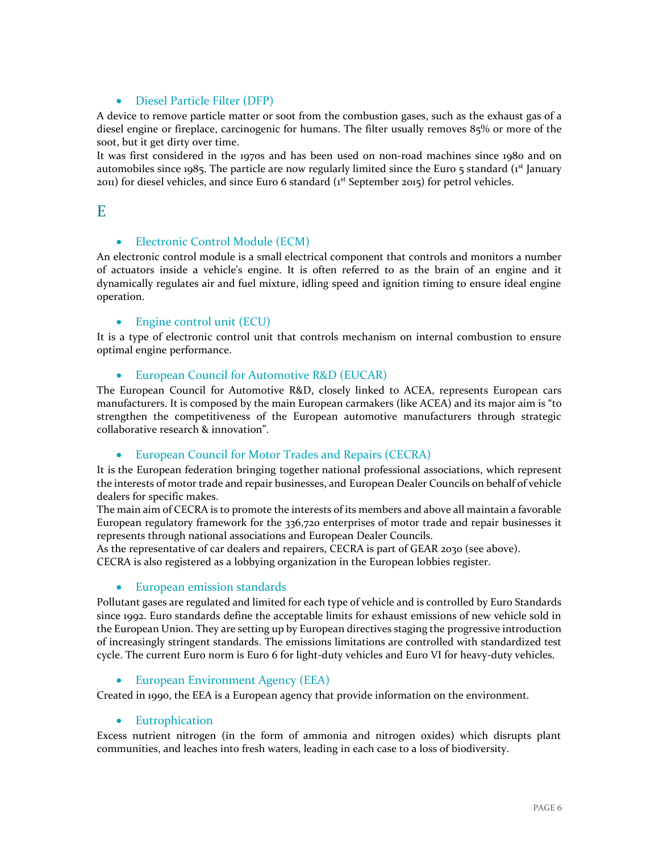### Diesel Particle Filter (DFP)

<span id="page-6-0"></span>A device to remove particle matter or soot from the combustion gases, such as the exhaust gas of a diesel engine or fireplace, carcinogenic for humans. The filter usually removes 85% or more of the soot, but it get dirty over time.

It was first considered in the 1970s and has been used on non-road machines since 1980 and on automobiles since 1985. The particle are now regularly limited since the Euro 5 standard ( $1<sup>st</sup>$  January  $2011$ ) for diesel vehicles, and since Euro 6 standard ( $1<sup>st</sup>$  September 2015) for petrol vehicles.

# <span id="page-6-1"></span>E

### • Electronic Control Module (ECM)

An electronic control module is a small electrical component that controls and monitors a number of actuators inside a vehicle's engine. It is often referred to as the brain of an engine and it dynamically regulates air and fuel mixture, idling speed and ignition timing to ensure ideal engine operation.

#### <span id="page-6-2"></span>• Engine control unit (ECU)

It is a type of electronic control unit that controls mechanism on internal combustion to ensure optimal engine performance.

#### <span id="page-6-3"></span>**•** European Council for Automotive R&D (EUCAR)

The European Council for Automotive R&D, closely linked to ACEA, represents European cars manufacturers. It is composed by the main European carmakers (like ACEA) and its major aim is "to strengthen the competitiveness of the European automotive manufacturers through strategic collaborative research & innovation".

#### <span id="page-6-4"></span>European Council for Motor Trades and Repairs (CECRA)

It is the European federation bringing together national professional associations, which represent the interests of motor trade and repair businesses, and European Dealer Councils on behalf of vehicle dealers for specific makes.

The main aim of CECRA is to promote the interests of its members and above all maintain a favorable European regulatory framework for the 336,720 enterprises of motor trade and repair businesses it represents through national associations and European Dealer Councils.

As the representative of car dealers and repairers, CECRA is part of GEAR 2030 (see above). CECRA is also registered as a lobbying organization in the European lobbies register.

#### <span id="page-6-5"></span>European emission standards

Pollutant gases are regulated and limited for each type of vehicle and is controlled by Euro Standards since 1992. Euro standards define the acceptable limits for exhaust emissions of new vehicle sold in the European Union. They are setting up by European directives staging the progressive introduction of increasingly stringent standards. The emissions limitations are controlled with standardized test cycle. The current Euro norm is Euro 6 for light-duty vehicles and Euro VI for heavy-duty vehicles.

<span id="page-6-6"></span>• European Environment Agency (EEA)

<span id="page-6-7"></span>Created in 1990, the EEA is a European agency that provide information on the environment.

#### • Eutrophication

Excess nutrient nitrogen (in the form of ammonia and nitrogen oxides) which disrupts plant communities, and leaches into fresh waters, leading in each case to a loss of biodiversity.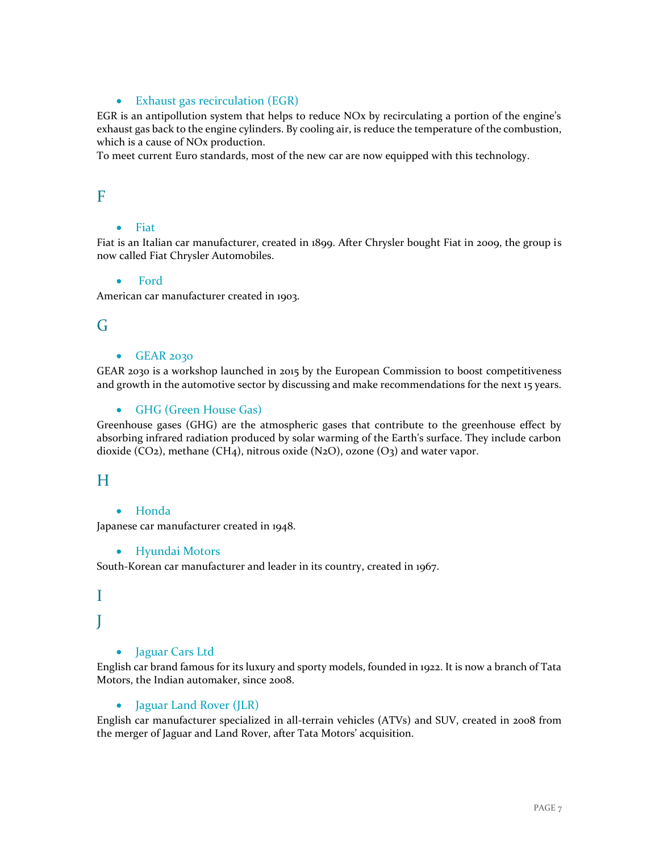### • Exhaust gas recirculation (EGR)

<span id="page-7-0"></span>EGR is an antipollution system that helps to reduce NOx by recirculating a portion of the engine's exhaust gas back to the engine cylinders. By cooling air, is reduce the temperature of the combustion, which is a cause of NOx production.

To meet current Euro standards, most of the new car are now equipped with this technology.

# <span id="page-7-1"></span>F

### • Fiat

Fiat is an Italian car manufacturer, created in 1899. After Chrysler bought Fiat in 2009, the group is now called Fiat Chrysler Automobiles.

#### <span id="page-7-2"></span>Ford

American car manufacturer created in 1903.

# <span id="page-7-3"></span>G

#### $-$ GEAR 2030

GEAR 2030 is a workshop launched in 2015 by the European Commission to boost competitiveness and growth in the automotive sector by discussing and make recommendations for the next 15 years.

#### <span id="page-7-4"></span>• GHG (Green House Gas)

Greenhouse gases (GHG) are the atmospheric gases that contribute to the greenhouse effect by absorbing infrared radiation produced by solar warming of the Earth's surface. They include carbon dioxide ( $CO<sub>2</sub>$ ), methane ( $CH<sub>4</sub>$ ), nitrous oxide (N<sub>2</sub>O), ozone (O<sub>3</sub>) and water vapor.

# <span id="page-7-5"></span>H

#### Honda

<span id="page-7-6"></span>Japanese car manufacturer created in 1948.

#### Hyundai Motors

South-Korean car manufacturer and leader in its country, created in 1967.

# I J

# <span id="page-7-7"></span>• Jaguar Cars Ltd

English car brand famous for its luxury and sporty models, founded in 1922. It is now a branch of Tata Motors, the Indian automaker, since 2008.

#### <span id="page-7-8"></span>• Jaguar Land Rover (JLR)

English car manufacturer specialized in all-terrain vehicles (ATVs) and SUV, created in 2008 from the merger of Jaguar and Land Rover, after Tata Motors' acquisition.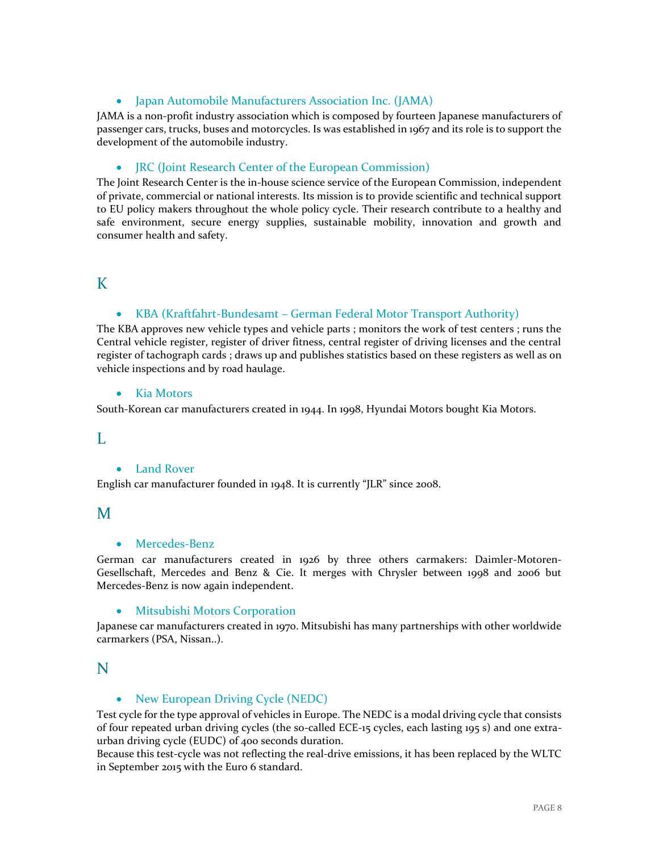# Japan Automobile Manufacturers Association Inc. (JAMA)

<span id="page-8-0"></span>JAMA is a non-profit industry association which is composed by fourteen Japanese manufacturers of passenger cars, trucks, buses and motorcycles. Is was established in 1967 and its role is to support the development of the automobile industry.

### <span id="page-8-1"></span>JRC (Joint Research Center of the European Commission)

The Joint Research Center is the in-house science service of the European Commission, independent of private, commercial or national interests. Its mission is to provide scientific and technical support to EU policy makers throughout the whole policy cycle. Their research contribute to a healthy and safe environment, secure energy supplies, sustainable mobility, innovation and growth and consumer health and safety.

# <span id="page-8-2"></span>K

# KBA (Kraftfahrt-Bundesamt – German Federal Motor Transport Authority)

The KBA approves new vehicle types and vehicle parts ; monitors the work of test centers ; runs the Central vehicle register, register of driver fitness, central register of driving licenses and the central register of tachograph cards ; draws up and publishes [statistics](http://www.kba.de/EN/Statistik_en/statistik_node_en.html) based on these registers as well as on vehicle inspections and by road haulage.

#### <span id="page-8-3"></span>• Kia Motors

South-Korean car manufacturers created in 1944. In 1998, Hyundai Motors bought Kia Motors.

#### <span id="page-8-4"></span>L

#### Land Rover

English car manufacturer founded in 1948. It is currently "JLR" since 2008.

# <span id="page-8-5"></span>M

#### Mercedes-Benz

German car manufacturers created in 1926 by three others carmakers: Daimler-Motoren-Gesellschaft, Mercedes and Benz & Cie. It merges with Chrysler between 1998 and 2006 but Mercedes-Benz is now again independent.

#### <span id="page-8-6"></span>Mitsubishi Motors Corporation

Japanese car manufacturers created in 1970. Mitsubishi has many partnerships with other worldwide carmarkers (PSA, Nissan..).

# <span id="page-8-7"></span>N

# • New European Driving Cycle (NEDC)

Test cycle for the type approval of vehicles in Europe. The NEDC is a modal driving cycle that consists of four repeated urban driving cycles (the so-called ECE-15 cycles, each lasting 195 s) and one extraurban driving cycle (EUDC) of 400 seconds duration.

Because this test-cycle was not reflecting the real-drive emissions, it has been replaced by the WLTC in September 2015 with the Euro 6 standard.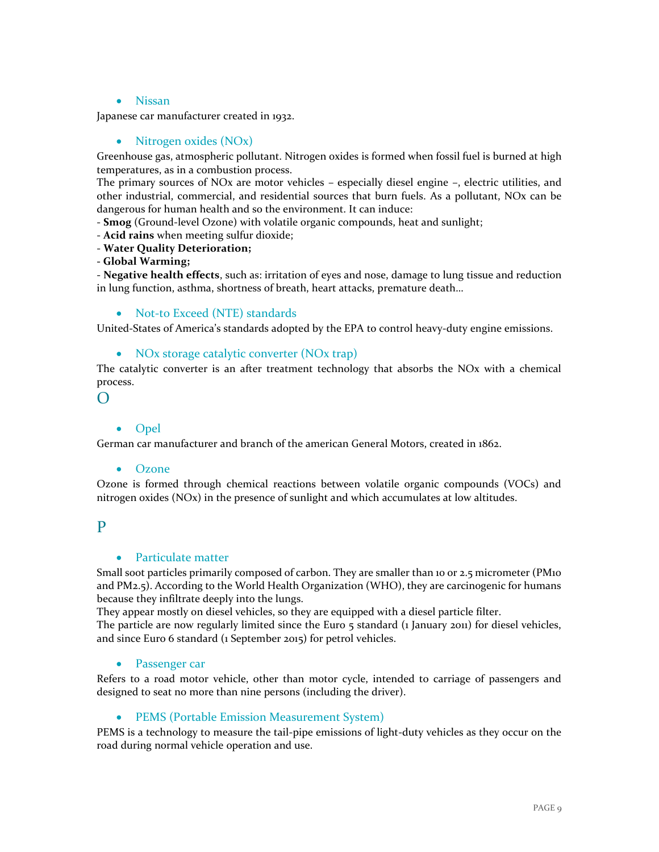#### Nissan

<span id="page-9-1"></span><span id="page-9-0"></span>Japanese car manufacturer created in 1932.

#### • Nitrogen oxides (NO<sub>x</sub>)

Greenhouse gas, atmospheric pollutant. Nitrogen oxides is formed when fossil fuel is burned at high temperatures, as in a combustion process.

The primary sources of NOx are motor vehicles – especially diesel engine –, electric utilities, and other industrial, commercial, and residential sources that burn fuels. As a pollutant, NOx can be dangerous for human health and so the environment. It can induce:

- **Smog** (Ground-level Ozone) with volatile organic compounds, heat and sunlight;

- **Acid rains** when meeting sulfur dioxide;
- **Water Quality Deterioration;**

**- Global Warming;**

- **Negative health effects**, such as: irritation of eyes and nose, damage to lung tissue and reduction in lung function, asthma, shortness of breath, heart attacks, premature death…

<span id="page-9-2"></span>• Not-to Exceed (NTE) standards

<span id="page-9-3"></span>United-States of America's standards adopted by the EPA to control heavy-duty engine emissions.

#### • NOx storage catalytic converter (NOx trap)

The catalytic converter is an after treatment technology that absorbs the NOx with a chemical process.

<span id="page-9-4"></span> $\Omega$ 

#### • Opel

<span id="page-9-5"></span>German car manufacturer and branch of the american General Motors, created in 1862.

#### Ozone

Ozone is formed through chemical reactions between volatile organic compounds (VOCs) and nitrogen oxides (NOx) in the presence of sunlight and which accumulates at low altitudes.

#### <span id="page-9-6"></span>P

#### • Particulate matter

Small soot particles primarily composed of carbon. They are smaller than 10 or 2.5 micrometer (PM10 and PM2.5). According to the World Health Organization (WHO), they are carcinogenic for humans because they infiltrate deeply into the lungs.

They appear mostly on diesel vehicles, so they are equipped with a diesel particle filter.

<span id="page-9-7"></span>The particle are now regularly limited since the Euro 5 standard (1 January 2011) for diesel vehicles, and since Euro 6 standard (1 September 2015) for petrol vehicles.

#### Passenger car

Refers to a road motor vehicle, other than motor cycle, intended to carriage of passengers and designed to seat no more than nine persons (including the driver).

#### <span id="page-9-8"></span>• PEMS (Portable Emission Measurement System)

PEMS is a technology to measure the tail-pipe emissions of light-duty vehicles as they occur on the road during normal vehicle operation and use.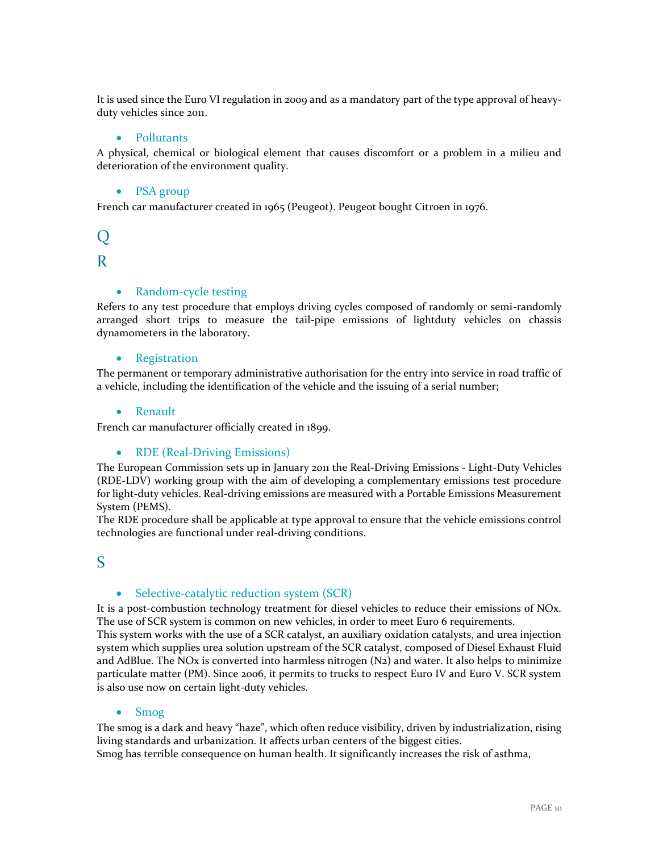<span id="page-10-0"></span>It is used since the Euro VI regulation in 2009 and as a mandatory part of the type approval of heavyduty vehicles since 2011.

#### • Pollutants

<span id="page-10-1"></span>A physical, chemical or biological element that causes discomfort or a problem in a milieu and deterioration of the environment quality.

#### • PSA group

French car manufacturer created in 1965 (Peugeot). Peugeot bought Citroen in 1976.

# $\overline{O}$

# <span id="page-10-2"></span>R

#### • Random-cycle testing

Refers to any test procedure that employs driving cycles composed of randomly or semi-randomly arranged short trips to measure the tail-pipe emissions of lightduty vehicles on chassis dynamometers in the laboratory.

#### <span id="page-10-3"></span>• Registration

The permanent or temporary administrative authorisation for the entry into service in road traffic of a vehicle, including the identification of the vehicle and the issuing of a serial number;

#### <span id="page-10-4"></span>Renault

<span id="page-10-5"></span>French car manufacturer officially created in 1899.

#### • RDE (Real-Driving Emissions)

The European Commission sets up in January 2011 the Real-Driving Emissions - Light-Duty Vehicles (RDE-LDV) working group with the aim of developing a complementary emissions test procedure for light-duty vehicles. Real-driving emissions are measured with a Portable Emissions Measurement System (PEMS).

The RDE procedure shall be applicable at type approval to ensure that the vehicle emissions control technologies are functional under real-driving conditions.

# <span id="page-10-6"></span>S

#### • Selective-catalytic reduction system (SCR)

It is a post-combustion technology treatment for diesel vehicles to reduce their emissions of NOx. The use of SCR system is common on new vehicles, in order to meet Euro 6 requirements. This system works with the use of a SCR catalyst, an auxiliary oxidation catalysts, and urea injection

system which supplies urea solution upstream of the SCR catalyst, composed of Diesel Exhaust Fluid and AdBlue. The NOx is converted into harmless nitrogen (N2) and water. It also helps to minimize particulate matter (PM). Since 2006, it permits to trucks to respect Euro IV and Euro V. SCR system is also use now on certain light-duty vehicles.

#### <span id="page-10-7"></span>• Smog

The smog is a dark and heavy "haze", which often reduce visibility, driven by industrialization, rising living standards and urbanization. It affects urban centers of the biggest cities.

Smog has terrible consequence on human health. It significantly increases the risk of asthma,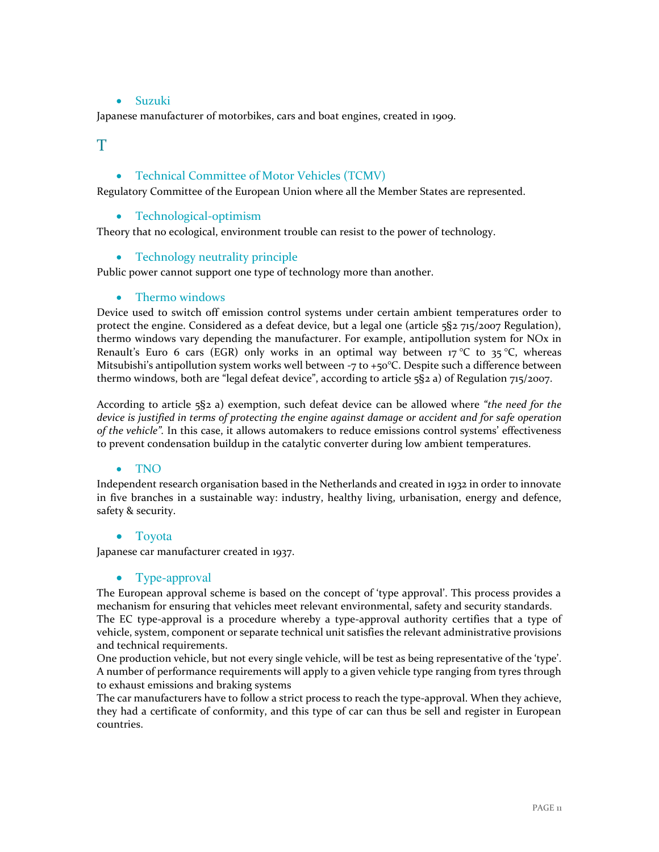### • Suzuki

<span id="page-11-0"></span>Japanese manufacturer of motorbikes, cars and boat engines, created in 1909.

<span id="page-11-1"></span>T

### Technical Committee of Motor Vehicles (TCMV)

<span id="page-11-2"></span>Regulatory Committee of the European Union where all the Member States are represented.

• Technological-optimism

<span id="page-11-3"></span>Theory that no ecological, environment trouble can resist to the power of technology.

• Technology neutrality principle

<span id="page-11-4"></span>Public power cannot support one type of technology more than another.

#### • Thermo windows

Device used to switch off emission control systems under certain ambient temperatures order to protect the engine. Considered as a defeat device, but a legal one (article 5§2 715/2007 Regulation), thermo windows vary depending the manufacturer. For example, antipollution system for NOx in Renault's Euro 6 cars (EGR) only works in an optimal way between 17 °C to 35 °C, whereas Mitsubishi's antipollution system works well between  $-7$  to  $+50^{\circ}$ C. Despite such a difference between thermo windows, both are "legal defeat device", according to article 5§2 a) of Regulation 715/2007.

According to article 5§2 a) exemption, such defeat device can be allowed where *"the need for the device is justified in terms of protecting the engine against damage or accident and for safe operation of the vehicle".* In this case, it allows automakers to reduce emissions control systems' effectiveness to prevent condensation buildup in the catalytic converter during low ambient temperatures.

#### <span id="page-11-5"></span>TNO

Independent research organisation based in the Netherlands and created in 1932 in order to innovate in five branches in a sustainable way: industry, healthy living, urbanisation, energy and defence, safety & security.

#### <span id="page-11-6"></span>• Toyota

<span id="page-11-7"></span>Japanese car manufacturer created in 1937.

#### • Type-approval

The European approval scheme is based on the concept of 'type approval'. This process provides a mechanism for ensuring that vehicles meet relevant environmental, safety and security standards. The EC type-approval is a procedure whereby a type-approval authority certifies that a type of vehicle, system, component or separate technical unit satisfies the relevant administrative provisions and technical requirements.

One production vehicle, but not every single vehicle, will be test as being representative of the 'type'. A number of performance requirements will apply to a given vehicle type ranging from tyres through to exhaust emissions and braking systems

The car manufacturers have to follow a strict process to reach the type-approval. When they achieve, they had a certificate of conformity, and this type of car can thus be sell and register in European countries.